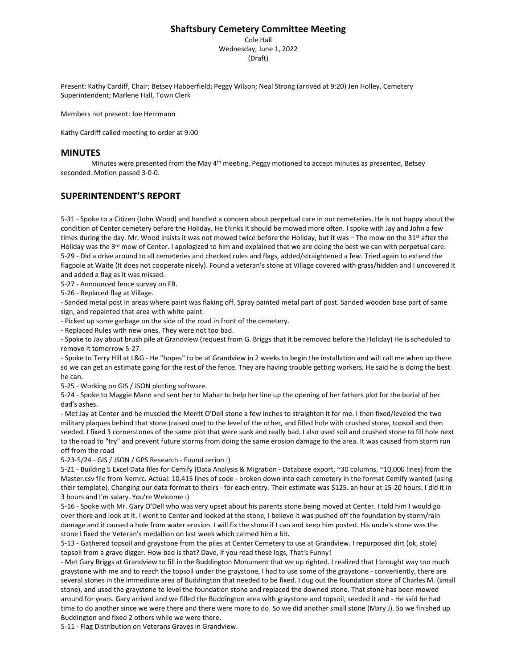# **Shaftsbury Cemetery Committee Meeting**

Cole Hall Wednesday, June 1, 2022 (Draft)

Present: Kathy Cardiff, Chair; Betsey Habberfield; Peggy Wilson; Neal Strong (arrived at 9:20) Jen Holley, Cemetery Superintendent; Marlene Hall, Town Clerk

Members not present: Joe Herrmann

Kathy Cardiff called meeting to order at 9:00

# **MINUTES**

Minutes were presented from the May 4<sup>th</sup> meeting. Peggy motioned to accept minutes as presented, Betsey seconded. Motion passed 3-0-0.

## **SUPERINTENDENT'S REPORT**

5-31 - Spoke to a Citizen (John Wood) and handled a concern about perpetual care in our cemeteries. He is not happy about the condition of Center cemetery before the Holiday. He thinks it should be mowed more often. I spoke with Jay and John a few times during the day. Mr. Wood insists it was not mowed twice before the Holiday, but it was – The mow on the 31<sup>st</sup> after the Holiday was the 3<sup>rd</sup> mow of Center. I apologized to him and explained that we are doing the best we can with perpetual care. 5-29 - Did a drive around to all cemeteries and checked rules and flags, added/straightened a few. Tried again to extend the flagpole at Waite (it does not cooperate nicely). Found a veteran's stone at Village covered with grass/hidden and I uncovered it and added a flag as it was missed.

5-27 - Announced fence survey on FB.

5-26 - Replaced flag at Village.

- Sanded metal post in areas where paint was flaking off. Spray painted metal part of post. Sanded wooden base part of same sign, and repainted that area with white paint.

- Picked up some garbage on the side of the road in front of the cemetery.

- Replaced Rules with new ones. They were not too bad.

- Spoke to Jay about brush pile at Grandview (request from G. Briggs that it be removed before the Holiday) He is scheduled to remove it tomorrow 5-27.

- Spoke to Terry Hill at L&G - He "hopes" to be at Grandview in 2 weeks to begin the installation and will call me when up there so we can get an estimate going for the rest of the fence. They are having trouble getting workers. He said he is doing the best he can.

5-25 - Working on GIS / JSON plotting software.

5-24 - Spoke to Maggie Mann and sent her to Mahar to help her line up the opening of her fathers plot for the burial of her dad's ashes.

- Met Jay at Center and he muscled the Merrit O'Dell stone a few inches to straighten it for me. I then fixed/leveled the two military plaques behind that stone (raised one) to the level of the other, and filled hole with crushed stone, topsoil and then seeded. I fixed 3 cornerstones of the same plot that were sunk and really bad. I also used soil and crushed stone to fill hole next to the road to "try" and prevent future storms from doing the same erosion damage to the area. It was caused from storm run off from the road

5-23-5/24 - GIS / JSON / GPS Research - Found zerion :)

5-21 - Building 5 Excel Data files for Cemify (Data Analysis & Migration - Database export, ~30 columns, ~10,000 lines) from the Master.csv file from Nemrc. Actual: 10,415 lines of code - broken down into each cemetery in the format Cemify wanted (using their template). Changing our data format to theirs - for each entry. Their estimate was \$125. an hour at 15-20 hours. I did it in 3 hours and I'm salary. You're Welcome :)

5-16 - Spoke with Mr. Gary O'Dell who was very upset about his parents stone being moved at Center. I told him I would go over there and look at it. I went to Center and looked at the stone, I believe it was pushed off the foundation by storm/rain damage and it caused a hole from water erosion. I will fix the stone if I can and keep him posted. His uncle's stone was the stone I fixed the Veteran's medallion on last week which calmed him a bit.

5-13 - Gathered topsoil and graystone from the piles at Center Cemetery to use at Grandview. I repurposed dirt (ok, stole) topsoil from a grave digger. How bad is that? Dave, if you read these logs, That's Funny!

- Met Gary Briggs at Grandview to fill in the Buddington Monument that we up righted. I realized that I brought way too much graystone with me and to reach the topsoil under the graystone, I had to use some of the graystone - conveniently, there are several stones in the immediate area of Buddington that needed to be fixed. I dug out the foundation stone of Charles M. (small stone), and used the graystone to level the foundation stone and replaced the downed stone. That stone has been mowed around for years. Gary arrived and we filled the Buddington area with graystone and topsoil, seeded it and - He said he had time to do another since we were there and there were more to do. So we did another small stone (Mary J). So we finished up Buddington and fixed 2 others while we were there.

5-11 - Flag Distribution on Veterans Graves in Grandview.